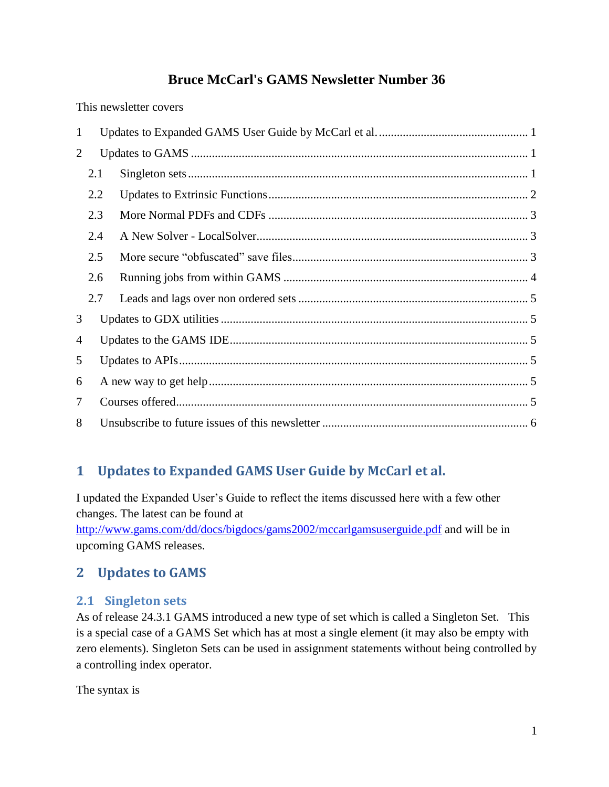# **Bruce McCarl's GAMS Newsletter Number 36**

This newsletter covers

| $\mathbf{1}$ |     |  |  |  |
|--------------|-----|--|--|--|
| 2            |     |  |  |  |
|              | 2.1 |  |  |  |
|              | 2.2 |  |  |  |
|              | 2.3 |  |  |  |
|              | 2.4 |  |  |  |
|              | 2.5 |  |  |  |
|              | 2.6 |  |  |  |
|              | 2.7 |  |  |  |
| 3            |     |  |  |  |
| 4            |     |  |  |  |
| 5            |     |  |  |  |
| 6            |     |  |  |  |
| 7            |     |  |  |  |
| 8            |     |  |  |  |

# <span id="page-0-0"></span>**1 Updates to Expanded GAMS User Guide by McCarl et al.**

I updated the Expanded User's Guide to reflect the items discussed here with a few other changes. The latest can be found at

<http://www.gams.com/dd/docs/bigdocs/gams2002/mccarlgamsuserguide.pdf> and will be in upcoming GAMS releases.

# <span id="page-0-1"></span>**2 Updates to GAMS**

## <span id="page-0-2"></span>**2.1 Singleton sets**

As of release 24.3.1 GAMS introduced a new type of set which is called a Singleton Set. This is a special case of a GAMS Set which has at most a single element (it may also be empty with zero elements). Singleton Sets can be used in assignment statements without being controlled by a controlling index operator.

The syntax is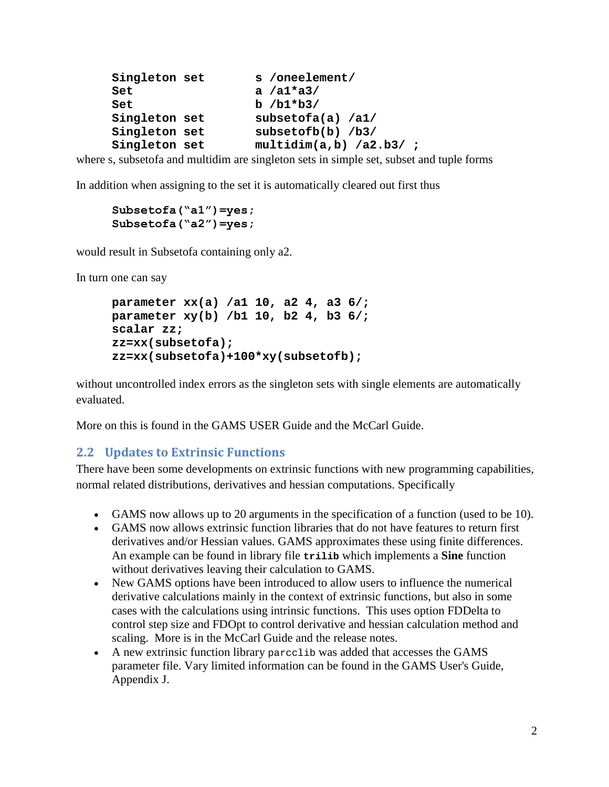| Singleton set | s /oneelement/            |
|---------------|---------------------------|
| Set           | a $/a1*aa3/$              |
| Set           | $b / b1 * b3/$            |
| Singleton set | subsetofa(a) $/a1/$       |
| Singleton set | subsetofb $(b)$ /b3/      |
| Singleton set | $multidim(a, b)$ /a2.b3/; |

where s, subsetofa and multidim are singleton sets in simple set, subset and tuple forms

In addition when assigning to the set it is automatically cleared out first thus

```
Subsetofa("a1")=yes;
Subsetofa("a2")=yes;
```
would result in Subsetofa containing only a2.

In turn one can say

```
parameter xx(a) /a1 10, a2 4, a3 6/;
parameter xy(b) /b1 10, b2 4, b3 6/;
scalar zz;
zz=xx(subsetofa);
zz=xx(subsetofa)+100*xy(subsetofb);
```
without uncontrolled index errors as the singleton sets with single elements are automatically evaluated.

More on this is found in the GAMS USER Guide and the McCarl Guide.

### <span id="page-1-0"></span>**2.2 Updates to Extrinsic Functions**

There have been some developments on extrinsic functions with new programming capabilities, normal related distributions, derivatives and hessian computations. Specifically

- GAMS now allows up to 20 arguments in the specification of a function (used to be 10).
- GAMS now allows extrinsic function libraries that do not have features to return first derivatives and/or Hessian values. GAMS approximates these using finite differences. An example can be found in library file **trilib** which implements a **Sine** function without derivatives leaving their calculation to GAMS.
- New GAMS options have been introduced to allow users to influence the numerical derivative calculations mainly in the context of extrinsic functions, but also in some cases with the calculations using intrinsic functions. This uses option FDDelta to control step size and FDOpt to control derivative and hessian calculation method and scaling. More is in the McCarl Guide and the release notes.
- A new extrinsic function library parcclib was added that accesses the GAMS parameter file. Vary limited information can be found in the GAMS User's Guide, Appendix J.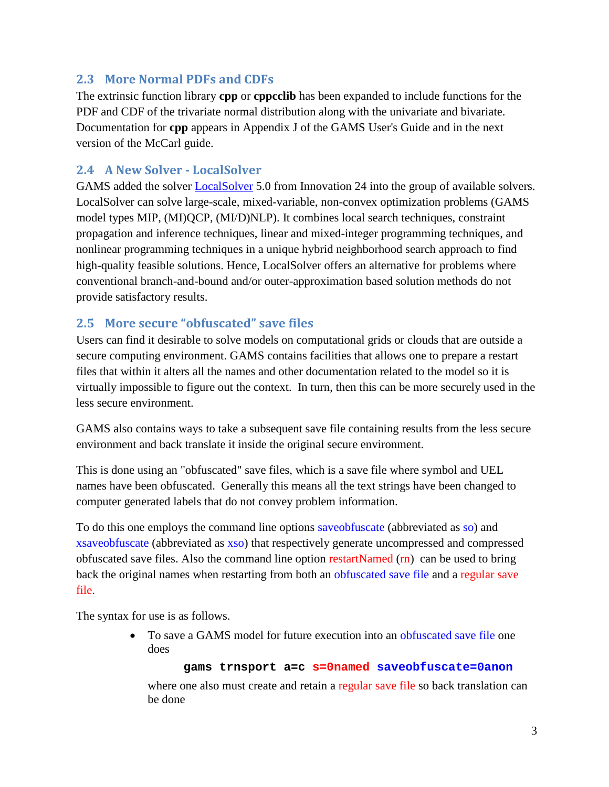## <span id="page-2-0"></span>**2.3 More Normal PDFs and CDFs**

The extrinsic function library **cpp** or **cppcclib** has been expanded to include functions for the PDF and CDF of the trivariate normal distribution along with the univariate and bivariate. Documentation for **cpp** appears in Appendix J of the GAMS User's Guide and in the next version of the McCarl guide.

## <span id="page-2-1"></span>**2.4 A New Solver - LocalSolver**

GAMS added the solver [LocalSolver](http://www.localsolver.com/) 5.0 from Innovation 24 into the group of available solvers. LocalSolver can solve large-scale, mixed-variable, non-convex optimization problems (GAMS model types MIP, (MI)QCP, (MI/D)NLP). It combines local search techniques, constraint propagation and inference techniques, linear and mixed-integer programming techniques, and nonlinear programming techniques in a unique hybrid neighborhood search approach to find high-quality feasible solutions. Hence, LocalSolver offers an alternative for problems where conventional branch-and-bound and/or outer-approximation based solution methods do not provide satisfactory results.

## <span id="page-2-2"></span>**2.5 More secure "obfuscated" save files**

Users can find it desirable to solve models on computational grids or clouds that are outside a secure computing environment. GAMS contains facilities that allows one to prepare a restart files that within it alters all the names and other documentation related to the model so it is virtually impossible to figure out the context. In turn, then this can be more securely used in the less secure environment.

GAMS also contains ways to take a subsequent save file containing results from the less secure environment and back translate it inside the original secure environment.

This is done using an "obfuscated" save files, which is a save file where symbol and UEL names have been obfuscated. Generally this means all the text strings have been changed to computer generated labels that do not convey problem information.

To do this one employs the command line options saveobfuscate (abbreviated as so) and xsaveobfuscate (abbreviated as xso) that respectively generate uncompressed and compressed obfuscated save files. Also the command line option restartNamed (rn) can be used to bring back the original names when restarting from both an obfuscated save file and a regular save file.

The syntax for use is as follows.

 To save a GAMS model for future execution into an obfuscated save file one does

#### **gams trnsport a=c s=0named saveobfuscate=0anon**

where one also must create and retain a regular save file so back translation can be done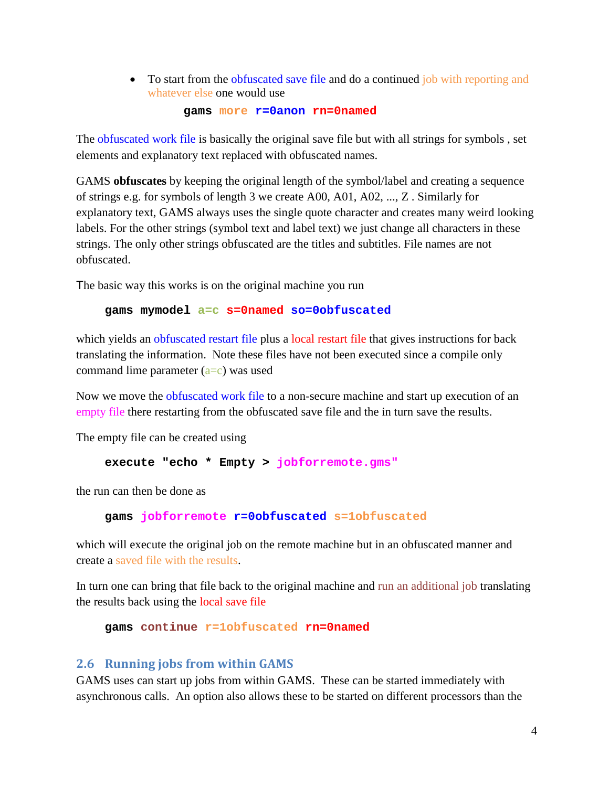• To start from the obfuscated save file and do a continued job with reporting and whatever else one would use

#### **gams more r=0anon rn=0named**

The obfuscated work file is basically the original save file but with all strings for symbols , set elements and explanatory text replaced with obfuscated names.

GAMS **obfuscates** by keeping the original length of the symbol/label and creating a sequence of strings e.g. for symbols of length 3 we create A00, A01, A02, ..., Z . Similarly for explanatory text, GAMS always uses the single quote character and creates many weird looking labels. For the other strings (symbol text and label text) we just change all characters in these strings. The only other strings obfuscated are the titles and subtitles. File names are not obfuscated.

The basic way this works is on the original machine you run

#### **gams mymodel a=c s=0named so=0obfuscated**

which yields an obfuscated restart file plus a local restart file that gives instructions for back translating the information. Note these files have not been executed since a compile only command lime parameter  $(a=c)$  was used

Now we move the obfuscated work file to a non-secure machine and start up execution of an empty file there restarting from the obfuscated save file and the in turn save the results.

The empty file can be created using

**execute "echo \* Empty > jobforremote.gms"**

the run can then be done as

**gams jobforremote r=0obfuscated s=1obfuscated**

which will execute the original job on the remote machine but in an obfuscated manner and create a saved file with the results.

In turn one can bring that file back to the original machine and run an additional job translating the results back using the local save file

**gams continue r=1obfuscated rn=0named**

#### <span id="page-3-0"></span>**2.6 Running jobs from within GAMS**

GAMS uses can start up jobs from within GAMS. These can be started immediately with asynchronous calls. An option also allows these to be started on different processors than the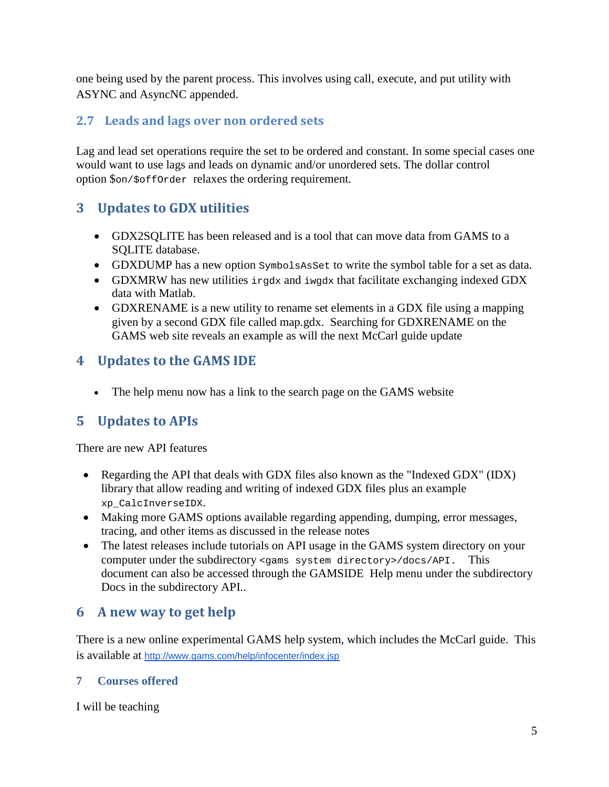one being used by the parent process. This involves using call, execute, and put utility with ASYNC and AsyncNC appended.

## <span id="page-4-0"></span>**2.7 Leads and lags over non ordered sets**

Lag and lead set operations require the set to be ordered and constant. In some special cases one would want to use lags and leads on dynamic and/or unordered sets. The dollar control option \$on/\$offOrder relaxes the ordering requirement.

# <span id="page-4-1"></span>**3 Updates to GDX utilities**

- GDX2SQLITE has been released and is a tool that can move data from GAMS to a SQLITE database.
- GDXDUMP has a new option SymbolsAsSet to write the symbol table for a set as data.
- GDXMRW has new utilities irgdx and iwgdx that facilitate exchanging indexed GDX data with Matlab.
- GDXRENAME is a new utility to rename set elements in a GDX file using a mapping given by a second GDX file called map.gdx. Searching for GDXRENAME on the GAMS web site reveals an example as will the next McCarl guide update

# <span id="page-4-2"></span>**4 Updates to the GAMS IDE**

• The help menu now has a link to the search page on the GAMS website

# <span id="page-4-3"></span>**5 Updates to APIs**

There are new API features

- Regarding the API that deals with GDX files also known as the "Indexed GDX" (IDX) library that allow reading and writing of indexed GDX files plus an example xp\_CalcInverseIDX.
- Making more GAMS options available regarding appending, dumping, error messages, tracing, and other items as discussed in the release notes
- The latest releases include tutorials on API usage in the GAMS system directory on your computer under the subdirectory <gams system directory>/docs/API. This document can also be accessed through the GAMSIDE Help menu under the subdirectory Docs in the subdirectory API..

## <span id="page-4-4"></span>**6 A new way to get help**

There is a new online experimental GAMS help system, which includes the McCarl guide. This is available at <http://www.gams.com/help/infocenter/index.jsp>

## <span id="page-4-5"></span>**7 Courses offered**

I will be teaching